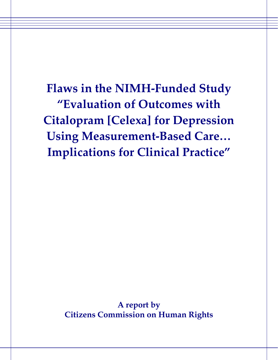**Flaws in the NIMH-Funded Study "Evaluation of Outcomes with Citalopram [Celexa] for Depression Using Measurement-Based Care… Implications for Clinical Practice"** 

> **A report by Citizens Commission on Human Rights**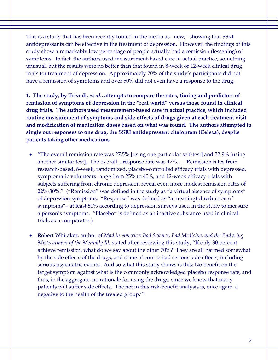This is a study that has been recently touted in the media as "new," showing that SSRI antidepressants can be effective in the treatment of depression. However, the findings of this study show a remarkably low percentage of people actually had a remission (lessening) of symptoms. In fact, the authors used measurement-based care in actual practice, something unusual, but the results were no better than that found in 8-week or 12-week clinical drug trials for treatment of depression. Approximately 70% of the study's participants did not have a remission of symptoms and over 50% did not even have a response to the drug.

**1. The study, by Trivedi,** *et al.,* **attempts to compare the rates, timing and predictors of remission of symptoms of depression in the "real world" versus those found in clinical drug trials. The authors used measurement-based care in actual practice, which included routine measurement of symptoms and side effects of drugs given at each treatment visit and modification of medication doses based on what was found. The authors attempted to single out responses to one drug, the SSRI antidepressant citalopram (Celexa), despite patients taking other medications.**

- "The overall remission rate was 27.5% [using one particular self-test] and 32.9% [using another similar test]. The overall…response rate was 47%.… Remission rates from research-based, 8-week, randomized, placebo-controlled efficacy trials with depressed, symptomatic volunteers range from 25% to 40%, and 12-week efficacy trials with subjects suffering from chronic depression reveal even more modest remission rates of 22%-30%." ("Remission" was defined in the study as "a virtual absence of symptoms" of depression symptoms. "Response" was defined as "a meaningful reduction of symptoms"– at least 50% according to depression surveys used in the study to measure a person's symptoms. "Placebo" is defined as an inactive substance used in clinical trials as a comparator.)
- Robert Whitaker, author of *Mad in America*: *Bad Science, Bad Medicine, and the Enduring Mistreatment of the Mentally Ill*, stated after reviewing this study, "If only 30 percent achieve remission, what do we say about the other 70%? They are all harmed somewhat by the side effects of the drugs, and some of course had serious side effects, including serious psychiatric events. And so what this study shows is this: No benefit on the target symptom against what is the commonly acknowledged placebo response rate, and thus, in the aggregate, no rationale for using the drugs, since we know that many patients will suffer side effects. The net in this risk-benefit analysis is, once again, a negative to the health of the treated group."[1](#page-3-0)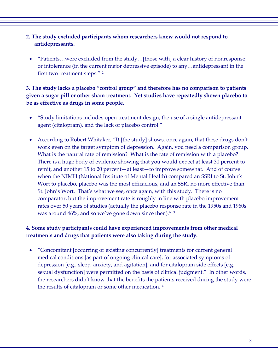## **2. The study excluded participants whom researchers knew would not respond to antidepressants.**

• "Patients…were excluded from the study…[those with] a clear history of nonresponse or intolerance (in the current major depressive episode) to any…antidepressant in the first two treatment steps." [2](#page-3-1)

## **3. The study lacks a placebo "control group" and therefore has no comparison to patients given a sugar pill or other sham treatment. Yet studies have repeatedly shown placebo to be as effective as drugs in some people.**

- "Study limitations includes open treatment design, the use of a single antidepressant agent (citalopram), and the lack of placebo control."
- According to Robert Whitaker, "It [the study] shows, once again, that these drugs don't work even on the target symptom of depression. Again, you need a comparison group. What is the natural rate of remission? What is the rate of remission with a placebo? There is a huge body of evidence showing that you would expect at least 30 percent to remit, and another 15 to 20 percent—at least—to improve somewhat. And of course when the NIMH (National Institute of Mental Health) compared an SSRI to St. John's Wort to placebo, placebo was the most efficacious, and an SSRI no more effective than St. John's Wort. That's what we see, once again, with this study. There is no comparator, but the improvement rate is roughly in line with placebo improvement rates over 50 years of studies (actually the placebo response rate in the 1950s and 1960s was around 46%, and so we've gone down since then)." [3](#page-3-1)

## **4. Some study participants could have experienced improvements from other medical treatments and drugs that patients were also taking during the study.**

• "Concomitant [occurring or existing concurrently] treatments for current general medical conditions [as part of ongoing clinical care], for associated symptoms of depression [e.g., sleep, anxiety, and agitation], and for citalopram side effects [e.g., sexual dysfunction] were permitted on the basis of clinical judgment." In other words, the researchers didn't know that the benefits the patients received during the study were the results of citalopram or some other medication. [4](#page-3-1)